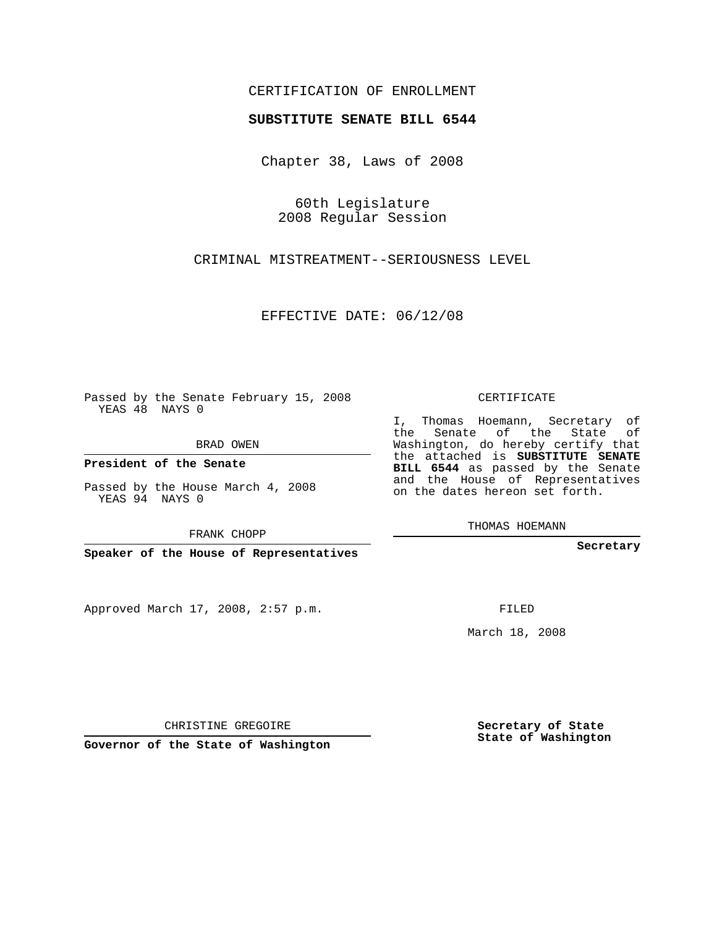### CERTIFICATION OF ENROLLMENT

### **SUBSTITUTE SENATE BILL 6544**

Chapter 38, Laws of 2008

60th Legislature 2008 Regular Session

CRIMINAL MISTREATMENT--SERIOUSNESS LEVEL

EFFECTIVE DATE: 06/12/08

Passed by the Senate February 15, 2008 YEAS 48 NAYS 0

BRAD OWEN

**President of the Senate**

Passed by the House March 4, 2008 YEAS 94 NAYS 0

FRANK CHOPP

**Speaker of the House of Representatives**

Approved March 17, 2008, 2:57 p.m.

CERTIFICATE

I, Thomas Hoemann, Secretary of the Senate of the State of Washington, do hereby certify that the attached is **SUBSTITUTE SENATE BILL 6544** as passed by the Senate and the House of Representatives on the dates hereon set forth.

THOMAS HOEMANN

**Secretary**

FILED

March 18, 2008

**Secretary of State State of Washington**

CHRISTINE GREGOIRE

**Governor of the State of Washington**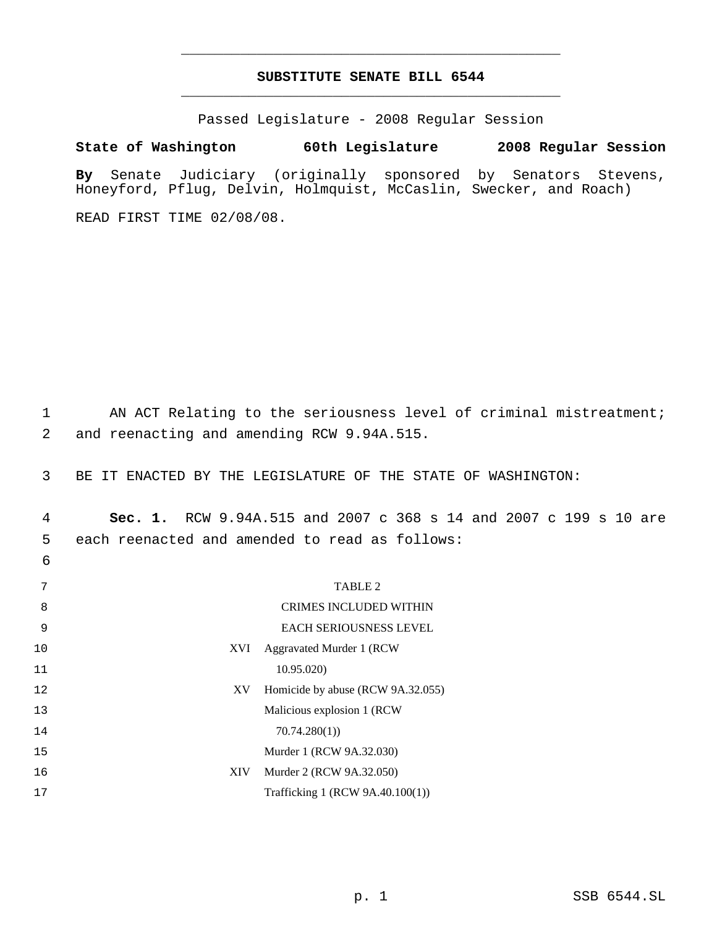## **SUBSTITUTE SENATE BILL 6544** \_\_\_\_\_\_\_\_\_\_\_\_\_\_\_\_\_\_\_\_\_\_\_\_\_\_\_\_\_\_\_\_\_\_\_\_\_\_\_\_\_\_\_\_\_

\_\_\_\_\_\_\_\_\_\_\_\_\_\_\_\_\_\_\_\_\_\_\_\_\_\_\_\_\_\_\_\_\_\_\_\_\_\_\_\_\_\_\_\_\_

Passed Legislature - 2008 Regular Session

# **State of Washington 60th Legislature 2008 Regular Session**

**By** Senate Judiciary (originally sponsored by Senators Stevens, Honeyford, Pflug, Delvin, Holmquist, McCaslin, Swecker, and Roach)

READ FIRST TIME 02/08/08.

6

1 AN ACT Relating to the seriousness level of criminal mistreatment; 2 and reenacting and amending RCW 9.94A.515.

3 BE IT ENACTED BY THE LEGISLATURE OF THE STATE OF WASHINGTON:

 4 **Sec. 1.** RCW 9.94A.515 and 2007 c 368 s 14 and 2007 c 199 s 10 are 5 each reenacted and amended to read as follows:

| 7  |            | TABLE 2                           |
|----|------------|-----------------------------------|
| 8  |            | <b>CRIMES INCLUDED WITHIN</b>     |
| 9  |            | <b>EACH SERIOUSNESS LEVEL</b>     |
| 10 | XVI        | Aggravated Murder 1 (RCW)         |
| 11 |            | 10.95.020)                        |
| 12 | XV         | Homicide by abuse (RCW 9A.32.055) |
| 13 |            | Malicious explosion 1 (RCW)       |
| 14 |            | 70.74.280(1)                      |
| 15 |            | Murder 1 (RCW 9A.32.030)          |
| 16 | <b>XIV</b> | Murder 2 (RCW 9A.32.050)          |
| 17 |            | Trafficking 1 (RCW 9A.40.100(1))  |
|    |            |                                   |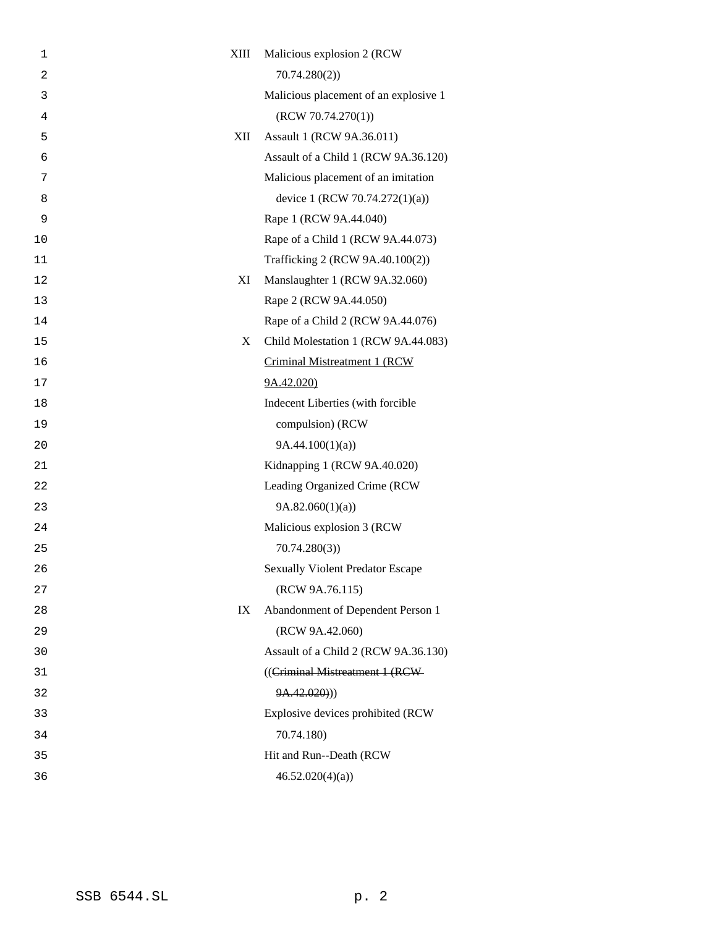| $\mathbf 1$    | XIII | Malicious explosion 2 (RCW)             |
|----------------|------|-----------------------------------------|
| $\overline{c}$ |      | 70.74.280(2)                            |
| 3              |      | Malicious placement of an explosive 1   |
| 4              |      | (RCW 70.74.270(1))                      |
| 5              | XII  | Assault 1 (RCW 9A.36.011)               |
| 6              |      | Assault of a Child 1 (RCW 9A.36.120)    |
| 7              |      | Malicious placement of an imitation     |
| 8              |      | device 1 (RCW 70.74.272(1)(a))          |
| 9              |      | Rape 1 (RCW 9A.44.040)                  |
| 10             |      | Rape of a Child 1 (RCW 9A.44.073)       |
| 11             |      | Trafficking 2 (RCW 9A.40.100(2))        |
| 12             | XI   | Manslaughter 1 (RCW 9A.32.060)          |
| 13             |      | Rape 2 (RCW 9A.44.050)                  |
| 14             |      | Rape of a Child 2 (RCW 9A.44.076)       |
| 15             | X    | Child Molestation 1 (RCW 9A.44.083)     |
| 16             |      | Criminal Mistreatment 1 (RCW            |
| 17             |      | 9A.42.020                               |
| 18             |      | Indecent Liberties (with forcible       |
| 19             |      | compulsion) (RCW                        |
| 20             |      | 9A.44.100(1)(a)                         |
| 21             |      | Kidnapping 1 (RCW 9A.40.020)            |
| 22             |      | Leading Organized Crime (RCW            |
| 23             |      | 9A.82.060(1)(a)                         |
| 24             |      | Malicious explosion 3 (RCW              |
| 25             |      | 70.74.280(3)                            |
| 26             |      | <b>Sexually Violent Predator Escape</b> |
| 27             |      | (RCW 9A.76.115)                         |
| 28             | IX   | Abandonment of Dependent Person 1       |
| 29             |      | (RCW 9A.42.060)                         |
| 30             |      | Assault of a Child 2 (RCW 9A.36.130)    |
| 31             |      | ((Criminal Mistreatment 1 (RCW-         |
| 32             |      | 9A.42.020))                             |
| 33             |      | Explosive devices prohibited (RCW       |
| 34             |      | 70.74.180)                              |
| 35             |      | Hit and Run--Death (RCW                 |
| 36             |      | 46.52.020(4)(a)                         |
|                |      |                                         |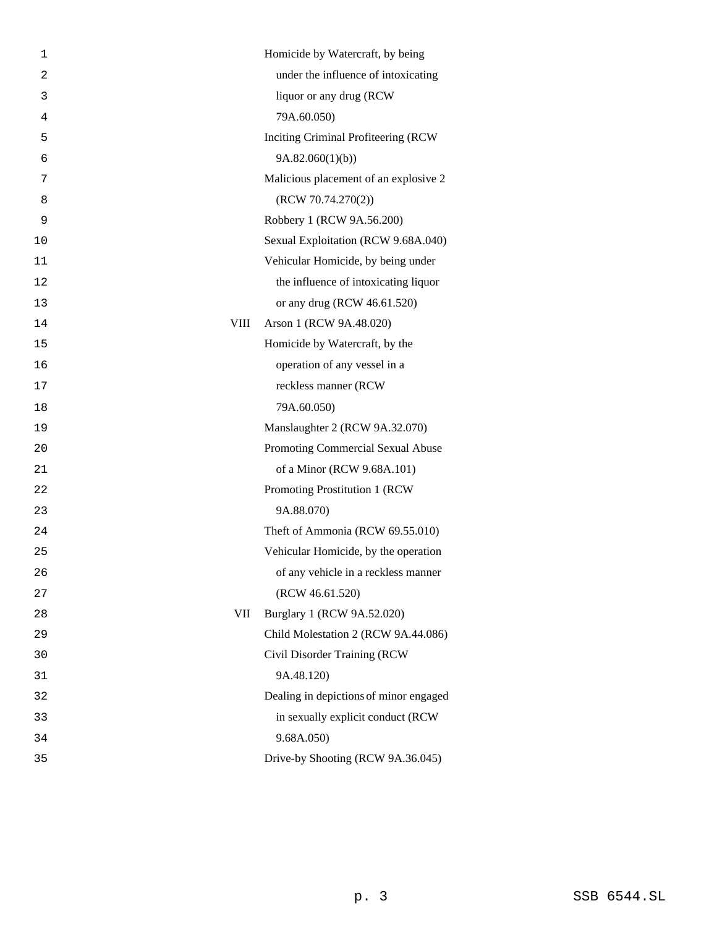| 1  |             | Homicide by Watercraft, by being       |
|----|-------------|----------------------------------------|
| 2  |             | under the influence of intoxicating    |
| 3  |             | liquor or any drug (RCW                |
| 4  |             | 79A.60.050)                            |
| 5  |             | Inciting Criminal Profiteering (RCW    |
| 6  |             | 9A.82.060(1)(b)                        |
| 7  |             | Malicious placement of an explosive 2  |
| 8  |             | (RCW 70.74.270(2))                     |
| 9  |             | Robbery 1 (RCW 9A.56.200)              |
| 10 |             | Sexual Exploitation (RCW 9.68A.040)    |
| 11 |             | Vehicular Homicide, by being under     |
| 12 |             | the influence of intoxicating liquor   |
| 13 |             | or any drug (RCW 46.61.520)            |
| 14 | <b>VIII</b> | Arson 1 (RCW 9A.48.020)                |
| 15 |             | Homicide by Watercraft, by the         |
| 16 |             | operation of any vessel in a           |
| 17 |             | reckless manner (RCW                   |
| 18 |             | 79A.60.050)                            |
| 19 |             | Manslaughter 2 (RCW 9A.32.070)         |
| 20 |             | Promoting Commercial Sexual Abuse      |
| 21 |             | of a Minor (RCW 9.68A.101)             |
| 22 |             | Promoting Prostitution 1 (RCW          |
| 23 |             | 9A.88.070)                             |
| 24 |             | Theft of Ammonia (RCW 69.55.010)       |
| 25 |             | Vehicular Homicide, by the operation   |
| 26 |             | of any vehicle in a reckless manner    |
| 27 |             | (RCW 46.61.520)                        |
| 28 | VII         | Burglary 1 (RCW 9A.52.020)             |
| 29 |             | Child Molestation 2 (RCW 9A.44.086)    |
| 30 |             | Civil Disorder Training (RCW)          |
| 31 |             | 9A.48.120)                             |
| 32 |             | Dealing in depictions of minor engaged |
| 33 |             | in sexually explicit conduct (RCW      |
| 34 |             | 9.68A.050)                             |
| 35 |             | Drive-by Shooting (RCW 9A.36.045)      |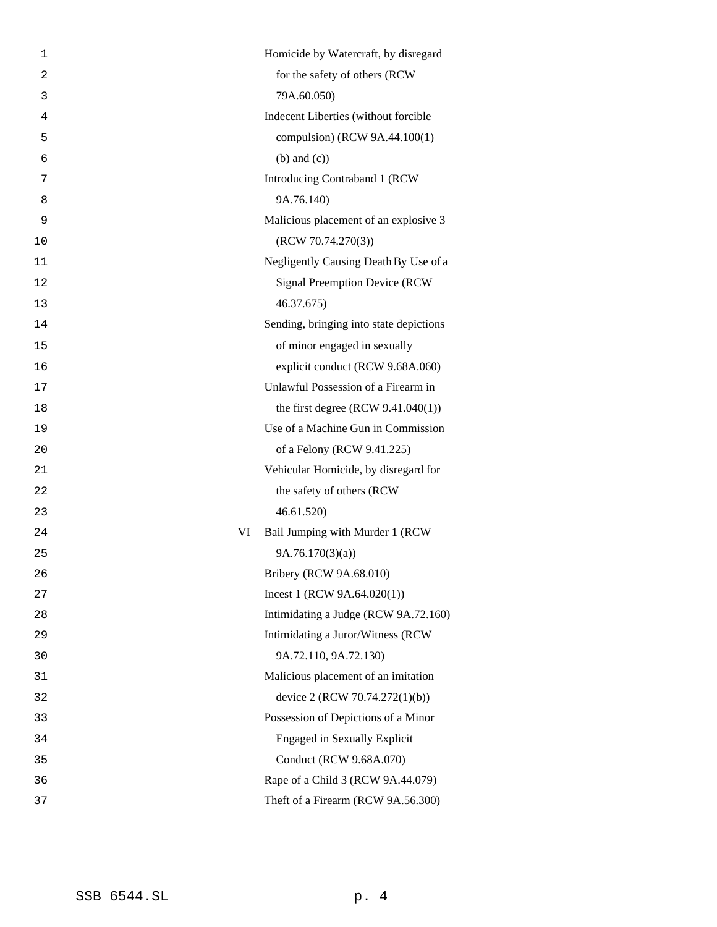| 1  |    | Homicide by Watercraft, by disregard    |
|----|----|-----------------------------------------|
| 2  |    | for the safety of others (RCW           |
| 3  |    | 79A.60.050)                             |
| 4  |    | Indecent Liberties (without forcible    |
| 5  |    | compulsion) (RCW 9A.44.100(1)           |
| 6  |    | $(b)$ and $(c)$ )                       |
| 7  |    | Introducing Contraband 1 (RCW           |
| 8  |    | 9A.76.140)                              |
| 9  |    | Malicious placement of an explosive 3   |
| 10 |    | (RCW 70.74.270(3))                      |
| 11 |    | Negligently Causing Death By Use of a   |
| 12 |    | <b>Signal Preemption Device (RCW</b>    |
| 13 |    | 46.37.675                               |
| 14 |    | Sending, bringing into state depictions |
| 15 |    | of minor engaged in sexually            |
| 16 |    | explicit conduct (RCW 9.68A.060)        |
| 17 |    | Unlawful Possession of a Firearm in     |
| 18 |    | the first degree (RCW $9.41.040(1)$ )   |
| 19 |    | Use of a Machine Gun in Commission      |
| 20 |    | of a Felony (RCW 9.41.225)              |
| 21 |    | Vehicular Homicide, by disregard for    |
| 22 |    | the safety of others (RCW               |
| 23 |    | 46.61.520)                              |
| 24 | VI | Bail Jumping with Murder 1 (RCW         |
| 25 |    | 9A.76.170(3)(a)                         |
| 26 |    | Bribery (RCW 9A.68.010)                 |
| 27 |    | Incest 1 (RCW $9A.64.020(1)$ )          |
| 28 |    | Intimidating a Judge (RCW 9A.72.160)    |
| 29 |    | Intimidating a Juror/Witness (RCW       |
| 30 |    | 9A.72.110, 9A.72.130)                   |
| 31 |    | Malicious placement of an imitation     |
| 32 |    | device 2 (RCW 70.74.272(1)(b))          |
| 33 |    | Possession of Depictions of a Minor     |
| 34 |    | <b>Engaged in Sexually Explicit</b>     |
| 35 |    | Conduct (RCW 9.68A.070)                 |
| 36 |    | Rape of a Child 3 (RCW 9A.44.079)       |
| 37 |    | Theft of a Firearm (RCW 9A.56.300)      |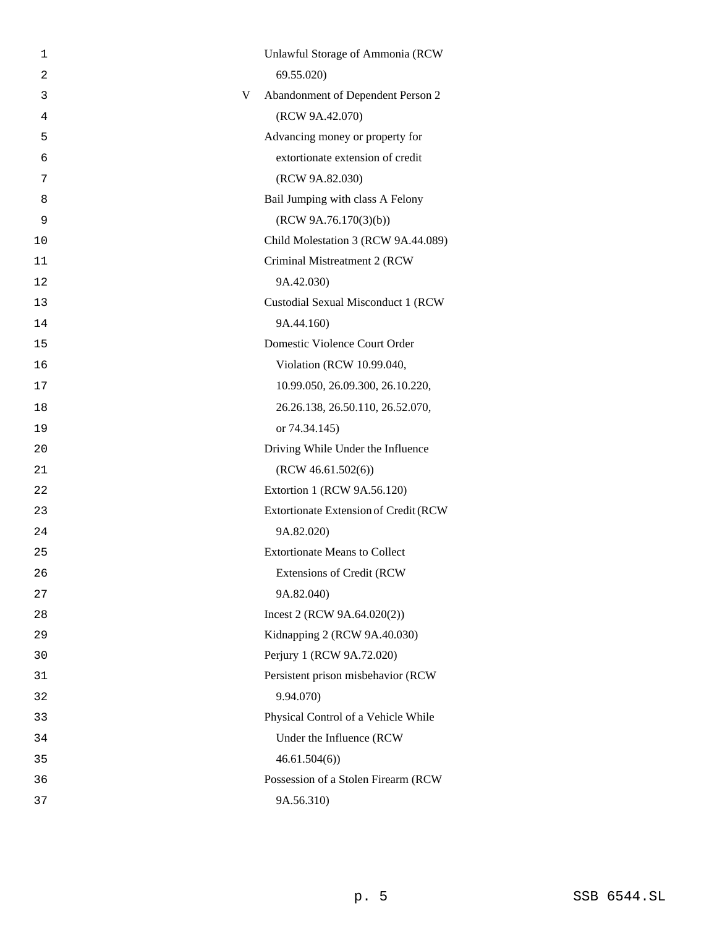| 1              |   | Unlawful Storage of Ammonia (RCW      |
|----------------|---|---------------------------------------|
| $\overline{2}$ |   | 69.55.020)                            |
| 3              | V | Abandonment of Dependent Person 2     |
| 4              |   | (RCW 9A.42.070)                       |
| 5              |   | Advancing money or property for       |
| 6              |   | extortionate extension of credit      |
| 7              |   | (RCW 9A.82.030)                       |
| 8              |   | Bail Jumping with class A Felony      |
| 9              |   | (RCW 9A.76.170(3)(b))                 |
| 10             |   | Child Molestation 3 (RCW 9A.44.089)   |
| 11             |   | Criminal Mistreatment 2 (RCW          |
| 12             |   | 9A.42.030)                            |
| 13             |   | Custodial Sexual Misconduct 1 (RCW    |
| 14             |   | 9A.44.160)                            |
| 15             |   | Domestic Violence Court Order         |
| 16             |   | Violation (RCW 10.99.040,             |
| 17             |   | 10.99.050, 26.09.300, 26.10.220,      |
| 18             |   | 26.26.138, 26.50.110, 26.52.070,      |
| 19             |   | or 74.34.145)                         |
| 20             |   | Driving While Under the Influence     |
| 21             |   | (RCW 46.61.502(6))                    |
| 22             |   | Extortion 1 (RCW 9A.56.120)           |
| 23             |   | Extortionate Extension of Credit (RCW |
| 24             |   | 9A.82.020)                            |
| 25             |   | <b>Extortionate Means to Collect</b>  |
| 26             |   | <b>Extensions of Credit (RCW</b>      |
| 27             |   | 9A.82.040)                            |
| 28             |   | Incest 2 (RCW 9A.64.020(2))           |
| 29             |   | Kidnapping 2 (RCW 9A.40.030)          |
| 30             |   | Perjury 1 (RCW 9A.72.020)             |
| 31             |   | Persistent prison misbehavior (RCW    |
| 32             |   | 9.94.070)                             |
| 33             |   | Physical Control of a Vehicle While   |
| 34             |   | Under the Influence (RCW              |
| 35             |   | 46.61.504(6)                          |
| 36             |   | Possession of a Stolen Firearm (RCW   |
| 37             |   | 9A.56.310)                            |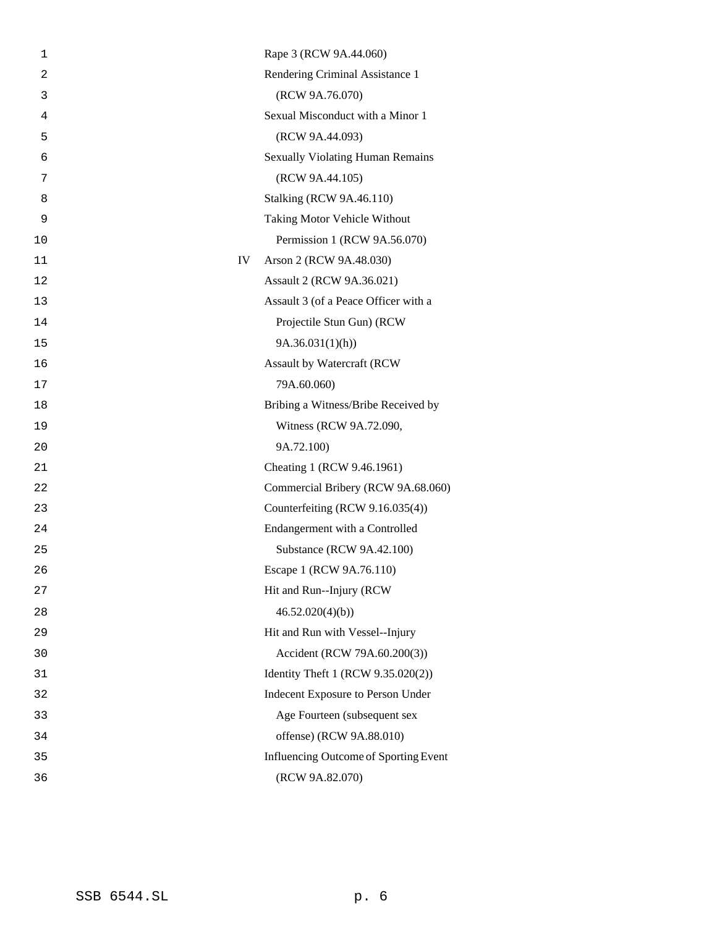| 1  |    | Rape 3 (RCW 9A.44.060)                  |
|----|----|-----------------------------------------|
| 2  |    | Rendering Criminal Assistance 1         |
| 3  |    | (RCW 9A.76.070)                         |
| 4  |    | Sexual Misconduct with a Minor 1        |
| 5  |    | (RCW 9A.44.093)                         |
| 6  |    | <b>Sexually Violating Human Remains</b> |
| 7  |    | (RCW 9A.44.105)                         |
| 8  |    | <b>Stalking (RCW 9A.46.110)</b>         |
| 9  |    | Taking Motor Vehicle Without            |
| 10 |    | Permission 1 (RCW 9A.56.070)            |
| 11 | IV | Arson 2 (RCW 9A.48.030)                 |
| 12 |    | Assault 2 (RCW 9A.36.021)               |
| 13 |    | Assault 3 (of a Peace Officer with a    |
| 14 |    | Projectile Stun Gun) (RCW               |
| 15 |    | 9A.36.031(1)(h)                         |
| 16 |    | Assault by Watercraft (RCW              |
| 17 |    | 79A.60.060)                             |
| 18 |    | Bribing a Witness/Bribe Received by     |
| 19 |    | Witness (RCW 9A.72.090,                 |
| 20 |    | 9A.72.100)                              |
| 21 |    | Cheating 1 (RCW 9.46.1961)              |
| 22 |    | Commercial Bribery (RCW 9A.68.060)      |
| 23 |    | Counterfeiting (RCW 9.16.035(4))        |
| 24 |    | Endangerment with a Controlled          |
| 25 |    | Substance (RCW 9A.42.100)               |
| 26 |    | Escape 1 (RCW 9A.76.110)                |
| 27 |    | Hit and Run--Injury (RCW                |
| 28 |    | 46.52.020(4)(b)                         |
| 29 |    | Hit and Run with Vessel--Injury         |
| 30 |    | Accident (RCW 79A.60.200(3))            |
| 31 |    | Identity Theft 1 (RCW 9.35.020(2))      |
| 32 |    | Indecent Exposure to Person Under       |
| 33 |    | Age Fourteen (subsequent sex            |
| 34 |    | offense) (RCW 9A.88.010)                |
| 35 |    | Influencing Outcome of Sporting Event   |
| 36 |    | (RCW 9A.82.070)                         |
|    |    |                                         |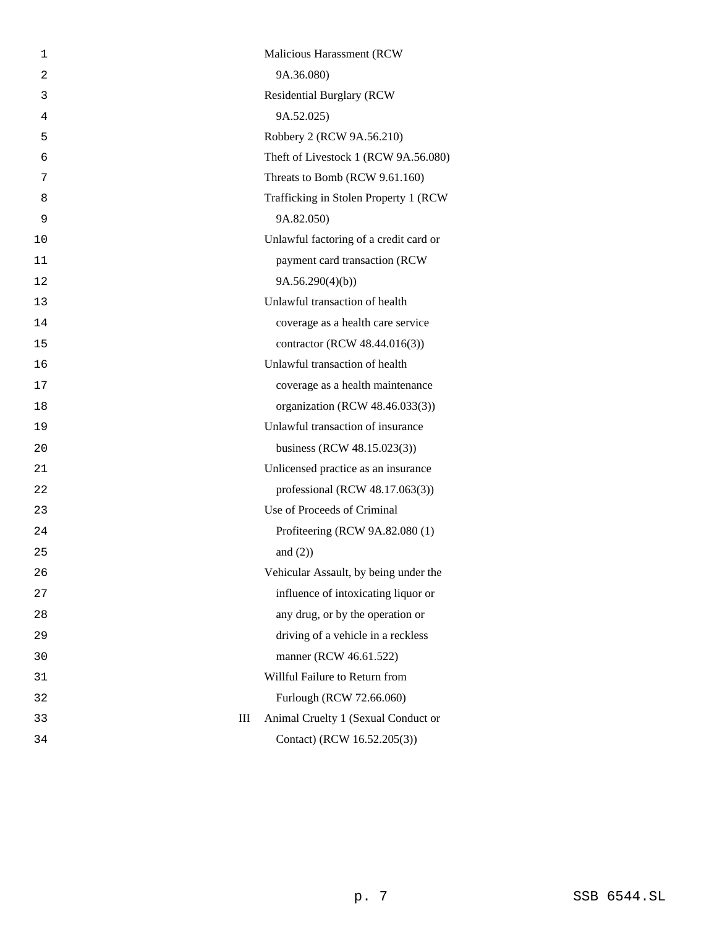| 1              | Malicious Harassment (RCW                |
|----------------|------------------------------------------|
| $\overline{2}$ | 9A.36.080)                               |
| 3              | <b>Residential Burglary (RCW</b>         |
| 4              | 9A.52.025)                               |
| 5              | Robbery 2 (RCW 9A.56.210)                |
| 6              | Theft of Livestock 1 (RCW 9A.56.080)     |
| 7              | Threats to Bomb (RCW 9.61.160)           |
| 8              | Trafficking in Stolen Property 1 (RCW)   |
| 9              | 9A.82.050)                               |
| 10             | Unlawful factoring of a credit card or   |
| 11             | payment card transaction (RCW            |
| 12             | 9A.56.290(4)(b)                          |
| 13             | Unlawful transaction of health           |
| 14             | coverage as a health care service        |
| 15             | contractor (RCW 48.44.016(3))            |
| 16             | Unlawful transaction of health           |
| 17             | coverage as a health maintenance         |
| 18             | organization (RCW 48.46.033(3))          |
| 19             | Unlawful transaction of insurance        |
| 20             | business (RCW 48.15.023(3))              |
| 21             | Unlicensed practice as an insurance      |
| 22             | professional (RCW 48.17.063(3))          |
| 23             | Use of Proceeds of Criminal              |
| 24             | Profiteering (RCW 9A.82.080 (1)          |
| 25             | and $(2)$                                |
| 26             | Vehicular Assault, by being under the    |
| 27             | influence of intoxicating liquor or      |
| 28             | any drug, or by the operation or         |
| 29             | driving of a vehicle in a reckless       |
| 30             | manner (RCW 46.61.522)                   |
| 31             | Willful Failure to Return from           |
| 32             | Furlough (RCW 72.66.060)                 |
| 33             | Animal Cruelty 1 (Sexual Conduct or<br>Ш |
| 34             | Contact) (RCW 16.52.205(3))              |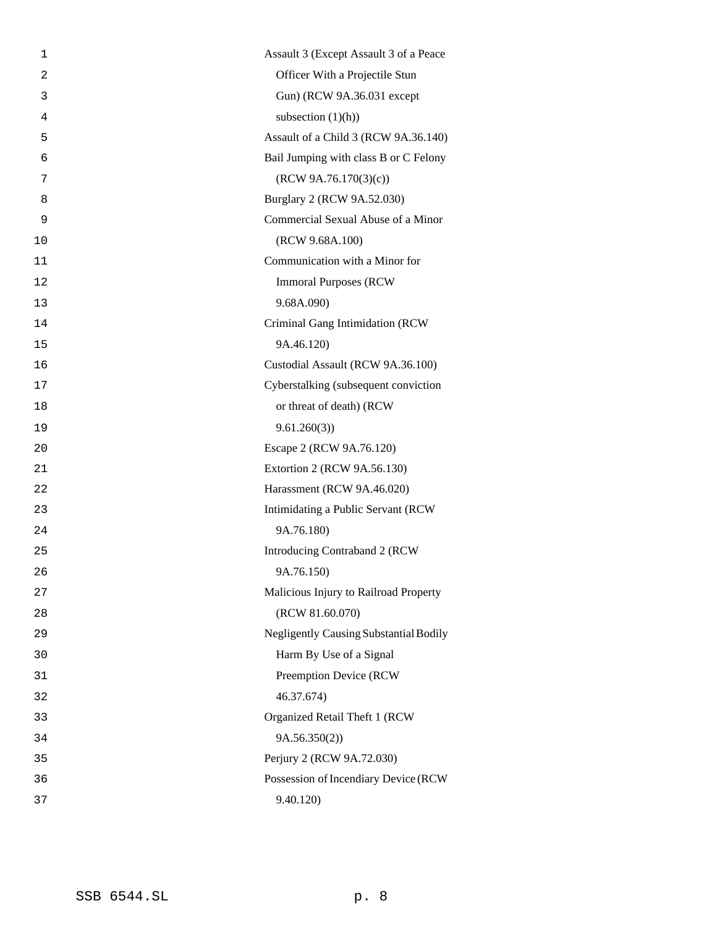| 1  | Assault 3 (Except Assault 3 of a Peace        |
|----|-----------------------------------------------|
| 2  | Officer With a Projectile Stun                |
| 3  | Gun) (RCW 9A.36.031 except                    |
| 4  | subsection $(1)(h)$                           |
| 5  | Assault of a Child 3 (RCW 9A.36.140)          |
| 6  | Bail Jumping with class B or C Felony         |
| 7  | (RCW 9A.76.170(3)(c))                         |
| 8  | Burglary 2 (RCW 9A.52.030)                    |
| 9  | Commercial Sexual Abuse of a Minor            |
| 10 | (RCW 9.68A.100)                               |
| 11 | Communication with a Minor for                |
| 12 | <b>Immoral Purposes (RCW)</b>                 |
| 13 | 9.68A.090)                                    |
| 14 | Criminal Gang Intimidation (RCW               |
| 15 | 9A.46.120)                                    |
| 16 | Custodial Assault (RCW 9A.36.100)             |
| 17 | Cyberstalking (subsequent conviction          |
| 18 | or threat of death) (RCW                      |
| 19 | 9.61.260(3)                                   |
| 20 | Escape 2 (RCW 9A.76.120)                      |
| 21 | Extortion 2 (RCW 9A.56.130)                   |
| 22 | Harassment (RCW 9A.46.020)                    |
| 23 | Intimidating a Public Servant (RCW            |
| 24 | 9A.76.180)                                    |
| 25 | Introducing Contraband 2 (RCW                 |
| 26 | 9A.76.150)                                    |
| 27 | Malicious Injury to Railroad Property         |
| 28 | (RCW 81.60.070)                               |
| 29 | <b>Negligently Causing Substantial Bodily</b> |
| 30 | Harm By Use of a Signal                       |
| 31 | Preemption Device (RCW                        |
| 32 | 46.37.674)                                    |
| 33 | Organized Retail Theft 1 (RCW                 |
| 34 | 9A.56.350(2)                                  |
| 35 | Perjury 2 (RCW 9A.72.030)                     |
| 36 | Possession of Incendiary Device (RCW          |
| 37 | 9.40.120)                                     |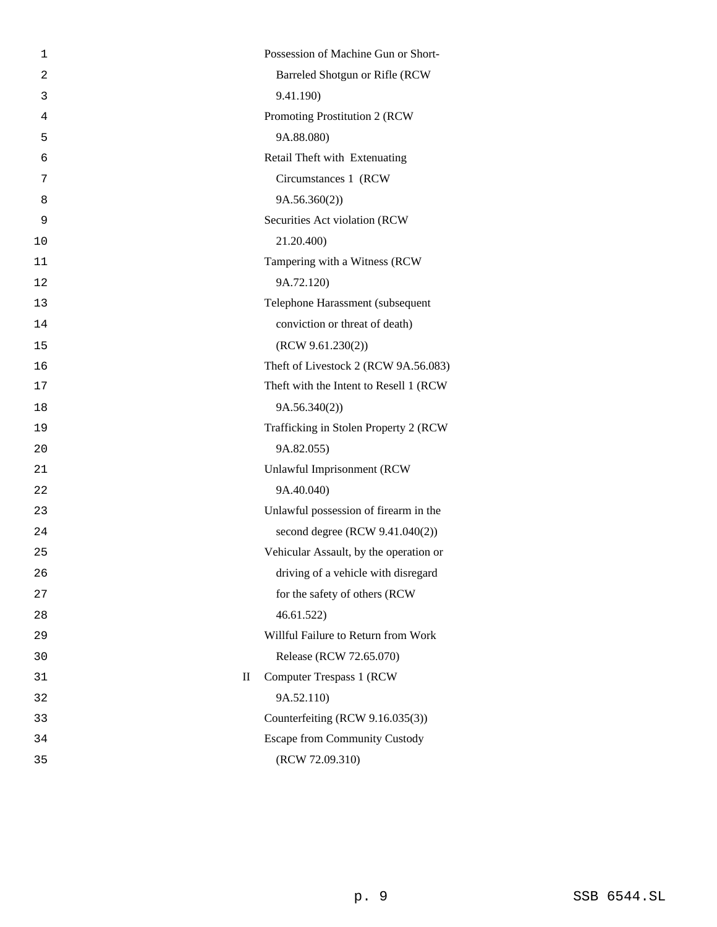| 1              | Possession of Machine Gun or Short-              |
|----------------|--------------------------------------------------|
| $\overline{2}$ | Barreled Shotgun or Rifle (RCW                   |
| 3              | 9.41.190)                                        |
| 4              | Promoting Prostitution 2 (RCW                    |
| 5              | 9A.88.080)                                       |
| 6              | Retail Theft with Extenuating                    |
| 7              | Circumstances 1 (RCW                             |
| 8              | 9A.56.360(2))                                    |
| 9              | Securities Act violation (RCW                    |
| 10             | 21.20.400)                                       |
| 11             | Tampering with a Witness (RCW                    |
| 12             | 9A.72.120)                                       |
| 13             | Telephone Harassment (subsequent                 |
| 14             | conviction or threat of death)                   |
| 15             | (RCW 9.61.230(2))                                |
| 16             | Theft of Livestock 2 (RCW 9A.56.083)             |
| 17             | Theft with the Intent to Resell 1 (RCW)          |
| 18             | 9A.56.340(2))                                    |
| 19             | Trafficking in Stolen Property 2 (RCW            |
| 20             | 9A.82.055)                                       |
| 21             | Unlawful Imprisonment (RCW                       |
| 22             | 9A.40.040)                                       |
| 23             | Unlawful possession of firearm in the            |
| 24             | second degree (RCW 9.41.040(2))                  |
| 25             | Vehicular Assault, by the operation or           |
| 26             | driving of a vehicle with disregard              |
| 27             | for the safety of others (RCW                    |
| 28             | 46.61.522)                                       |
| 29             | Willful Failure to Return from Work              |
| 30             | Release (RCW 72.65.070)                          |
| 31             | $\mathbf{I}$<br><b>Computer Trespass 1 (RCW)</b> |
| 32             | 9A.52.110)                                       |
| 33             | Counterfeiting (RCW 9.16.035(3))                 |
| 34             | <b>Escape from Community Custody</b>             |
| 35             | (RCW 72.09.310)                                  |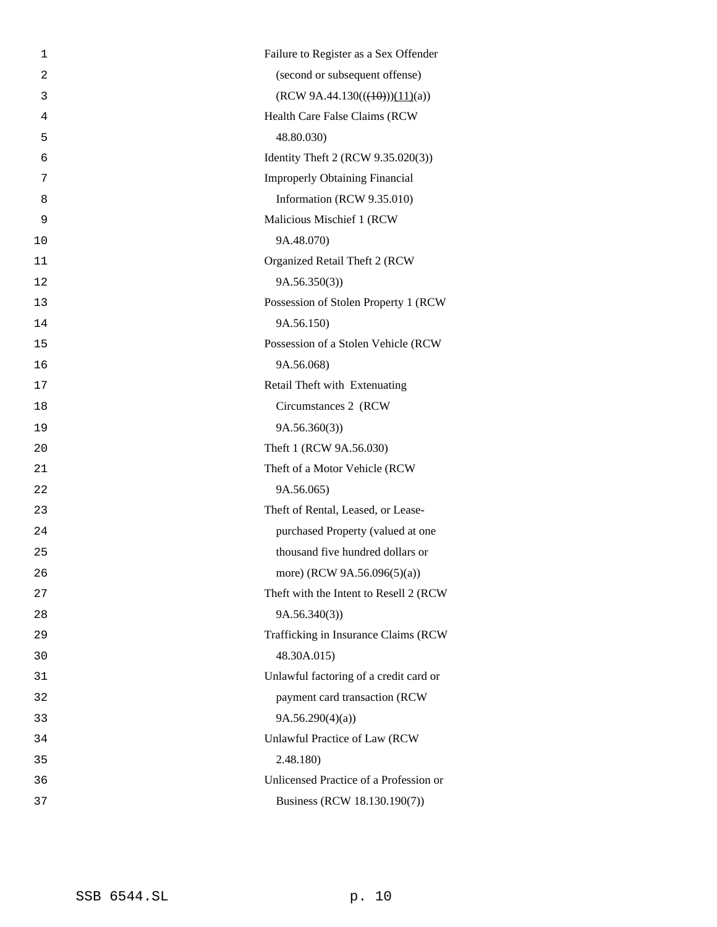| 1  | Failure to Register as a Sex Offender  |
|----|----------------------------------------|
| 2  | (second or subsequent offense)         |
| 3  | (RCW 9A.44.130(((40)))(11)(a))         |
| 4  | Health Care False Claims (RCW          |
| 5  | 48.80.030)                             |
| 6  | Identity Theft 2 (RCW 9.35.020(3))     |
| 7  | <b>Improperly Obtaining Financial</b>  |
| 8  | Information (RCW 9.35.010)             |
| 9  | Malicious Mischief 1 (RCW              |
| 10 | 9A.48.070)                             |
| 11 | Organized Retail Theft 2 (RCW          |
| 12 | 9A.56.350(3)                           |
| 13 | Possession of Stolen Property 1 (RCW   |
| 14 | 9A.56.150)                             |
| 15 | Possession of a Stolen Vehicle (RCW    |
| 16 | 9A.56.068)                             |
| 17 | Retail Theft with Extenuating          |
| 18 | Circumstances 2 (RCW)                  |
| 19 | 9A.56.360(3)                           |
| 20 | Theft 1 (RCW 9A.56.030)                |
| 21 | Theft of a Motor Vehicle (RCW          |
| 22 | 9A.56.065)                             |
| 23 | Theft of Rental, Leased, or Lease-     |
| 24 | purchased Property (valued at one      |
| 25 | thousand five hundred dollars or       |
| 26 | more) (RCW 9A.56.096(5)(a))            |
| 27 | Theft with the Intent to Resell 2 (RCW |
| 28 | 9A.56.340(3)                           |
| 29 | Trafficking in Insurance Claims (RCW   |
| 30 | 48.30A.015)                            |
| 31 | Unlawful factoring of a credit card or |
| 32 | payment card transaction (RCW          |
| 33 | 9A.56.290(4)(a)                        |
| 34 | Unlawful Practice of Law (RCW          |
| 35 | 2.48.180)                              |
| 36 | Unlicensed Practice of a Profession or |
| 37 | Business (RCW 18.130.190(7))           |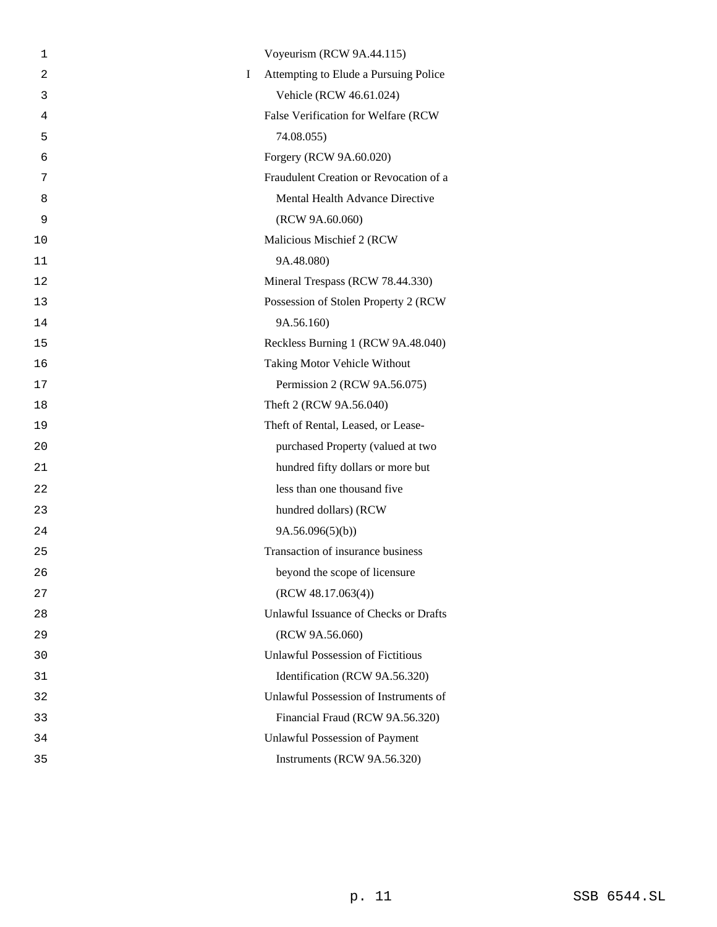| 1  | Voyeurism (RCW 9A.44.115)                  |
|----|--------------------------------------------|
| 2  | Attempting to Elude a Pursuing Police<br>L |
| 3  | Vehicle (RCW 46.61.024)                    |
| 4  | False Verification for Welfare (RCW        |
| 5  | 74.08.055)                                 |
| 6  | Forgery (RCW 9A.60.020)                    |
| 7  | Fraudulent Creation or Revocation of a     |
| 8  | Mental Health Advance Directive            |
| 9  | (RCW 9A.60.060)                            |
| 10 | Malicious Mischief 2 (RCW                  |
| 11 | 9A.48.080)                                 |
| 12 | Mineral Trespass (RCW 78.44.330)           |
| 13 | Possession of Stolen Property 2 (RCW       |
| 14 | 9A.56.160)                                 |
| 15 | Reckless Burning 1 (RCW 9A.48.040)         |
| 16 | Taking Motor Vehicle Without               |
| 17 | Permission 2 (RCW 9A.56.075)               |
| 18 | Theft 2 (RCW 9A.56.040)                    |
| 19 | Theft of Rental, Leased, or Lease-         |
| 20 | purchased Property (valued at two          |
| 21 | hundred fifty dollars or more but          |
| 22 | less than one thousand five                |
| 23 | hundred dollars) (RCW                      |
| 24 | 9A.56.096(5)(b)                            |
| 25 | Transaction of insurance business          |
| 26 | beyond the scope of licensure              |
| 27 | (RCW 48.17.063(4))                         |
| 28 | Unlawful Issuance of Checks or Drafts      |
| 29 | (RCW 9A.56.060)                            |
| 30 | <b>Unlawful Possession of Fictitious</b>   |
| 31 | Identification (RCW 9A.56.320)             |
| 32 | Unlawful Possession of Instruments of      |
| 33 | Financial Fraud (RCW 9A.56.320)            |
| 34 | <b>Unlawful Possession of Payment</b>      |
| 35 | Instruments (RCW 9A.56.320)                |